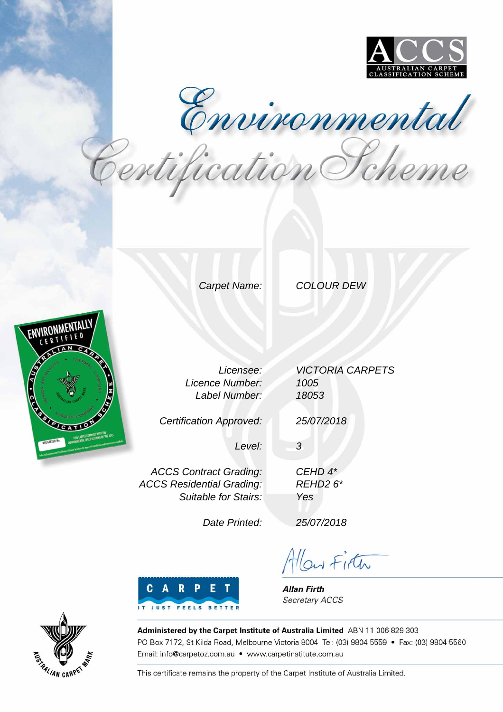

Environmental<br>Pertification Pcheme

Carpet Name: COLOUR DEW



Licensee: Licence Number: Label Number:

Date Printed:

Certification Approved:

VICTORIA CARPETS 1005 18053

25/07/2018

3

Level:

ACCS Contract Grading: ACCS Residential Grading: Suitable for Stairs:

CEHD 4\* REHD2 6\* Yes

25/07/2018

Allow Firth



**Allan Firth** Secretary ACCS



Administered by the Carpet Institute of Australia Limited ABN 11 006 829 303 PO Box 7172, St Kilda Road, Melbourne Victoria 8004 Tel: (03) 9804 5559 · Fax: (03) 9804 5560 Email: info@carpetoz.com.au • www.carpetinstitute.com.au

This certificate remains the property of the Carpet Institute of Australia Limited.